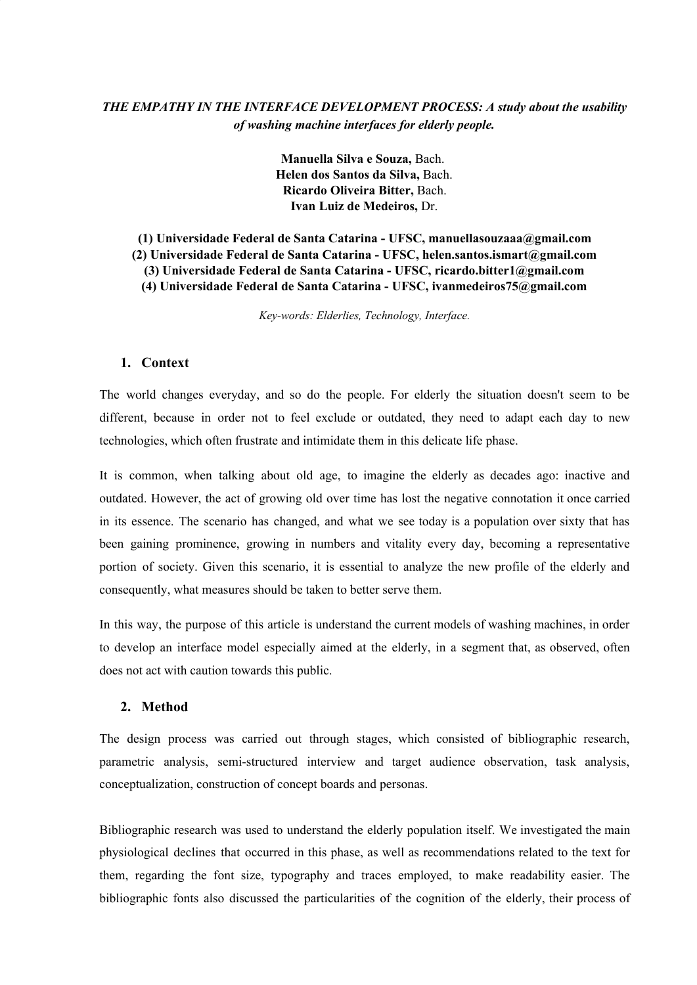# *THE EMPATHY IN THE INTERFACE DEVELOPMENT PROCESS: A study about the usability of washing machine interfaces for elderly people.*

**Manuella Silva e Souza,** Bach. **Helen dos Santos da Silva,** Bach. **Ricardo Oliveira Bitter,** Bach. **Ivan Luiz de Medeiros,** Dr.

**(1) Universidade Federal de Santa Catarina - UFSC, manuellasouzaaa@gmail.com (2) Universidade Federal de Santa Catarina - UFSC, helen.santos.ismart@gmail.com (3) Universidade Federal de Santa Catarina - UFSC, ricardo.bitter1@gmail.com (4) Universidade Federal de Santa Catarina - UFSC, ivanmedeiros75@gmail.com**

*Key-words: Elderlies, Technology, Interface.*

### **1. Context**

The world changes everyday, and so do the people. For elderly the situation doesn't seem to be different, because in order not to feel exclude or outdated, they need to adapt each day to new technologies, which often frustrate and intimidate them in this delicate life phase.

It is common, when talking about old age, to imagine the elderly as decades ago: inactive and outdated. However, the act of growing old over time has lost the negative connotation it once carried in its essence. The scenario has changed, and what we see today is a population over sixty that has been gaining prominence, growing in numbers and vitality every day, becoming a representative portion of society. Given this scenario, it is essential to analyze the new profile of the elderly and consequently, what measures should be taken to better serve them.

In this way, the purpose of this article is understand the current models of washing machines, in order to develop an interface model especially aimed at the elderly, in a segment that, as observed, often does not act with caution towards this public.

### **2. Method**

The design process was carried out through stages, which consisted of bibliographic research, parametric analysis, semi-structured interview and target audience observation, task analysis, conceptualization, construction of concept boards and personas.

Bibliographic research was used to understand the elderly population itself. We investigated the main physiological declines that occurred in this phase, as well as recommendations related to the text for them, regarding the font size, typography and traces employed, to make readability easier. The bibliographic fonts also discussed the particularities of the cognition of the elderly, their process of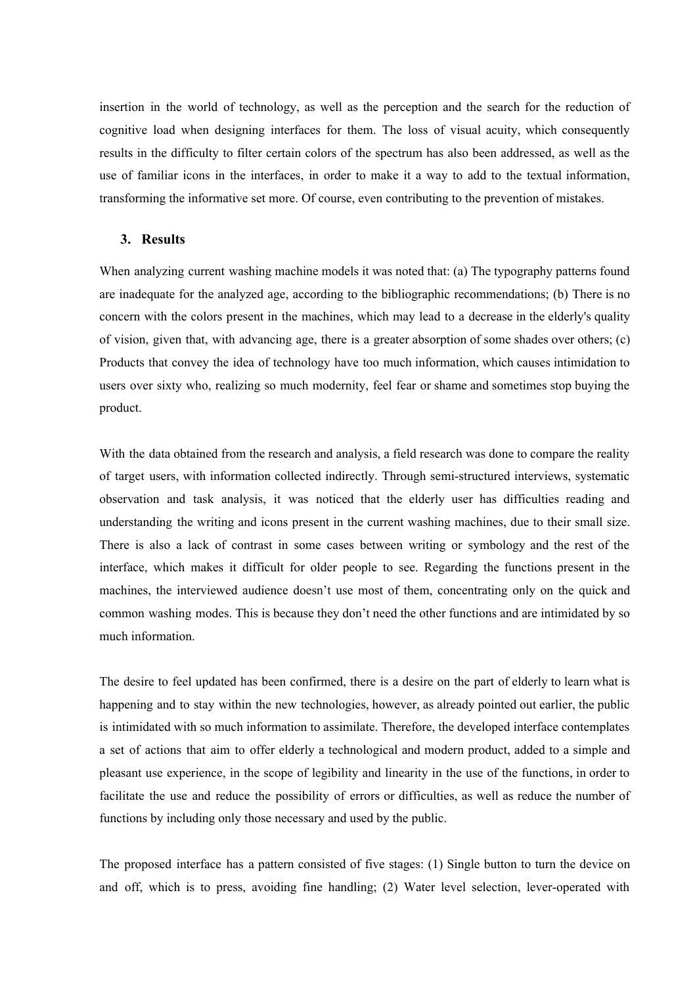insertion in the world of technology, as well as the perception and the search for the reduction of cognitive load when designing interfaces for them. The loss of visual acuity, which consequently results in the difficulty to filter certain colors of the spectrum has also been addressed, as well as the use of familiar icons in the interfaces, in order to make it a way to add to the textual information, transforming the informative set more. Of course, even contributing to the prevention of mistakes.

#### **3. Results**

When analyzing current washing machine models it was noted that: (a) The typography patterns found are inadequate for the analyzed age, according to the bibliographic recommendations; (b) There is no concern with the colors present in the machines, which may lead to a decrease in the elderly's quality of vision, given that, with advancing age, there is a greater absorption of some shades over others; (c) Products that convey the idea of technology have too much information, which causes intimidation to users over sixty who, realizing so much modernity, feel fear or shame and sometimes stop buying the product.

With the data obtained from the research and analysis, a field research was done to compare the reality of target users, with information collected indirectly. Through semi-structured interviews, systematic observation and task analysis, it was noticed that the elderly user has difficulties reading and understanding the writing and icons present in the current washing machines, due to their small size. There is also a lack of contrast in some cases between writing or symbology and the rest of the interface, which makes it difficult for older people to see. Regarding the functions present in the machines, the interviewed audience doesn't use most of them, concentrating only on the quick and common washing modes. This is because they don't need the other functions and are intimidated by so much information.

The desire to feel updated has been confirmed, there is a desire on the part of elderly to learn what is happening and to stay within the new technologies, however, as already pointed out earlier, the public is intimidated with so much information to assimilate. Therefore, the developed interface contemplates a set of actions that aim to offer elderly a technological and modern product, added to a simple and pleasant use experience, in the scope of legibility and linearity in the use of the functions, in order to facilitate the use and reduce the possibility of errors or difficulties, as well as reduce the number of functions by including only those necessary and used by the public.

The proposed interface has a pattern consisted of five stages: (1) Single button to turn the device on and off, which is to press, avoiding fine handling; (2) Water level selection, lever-operated with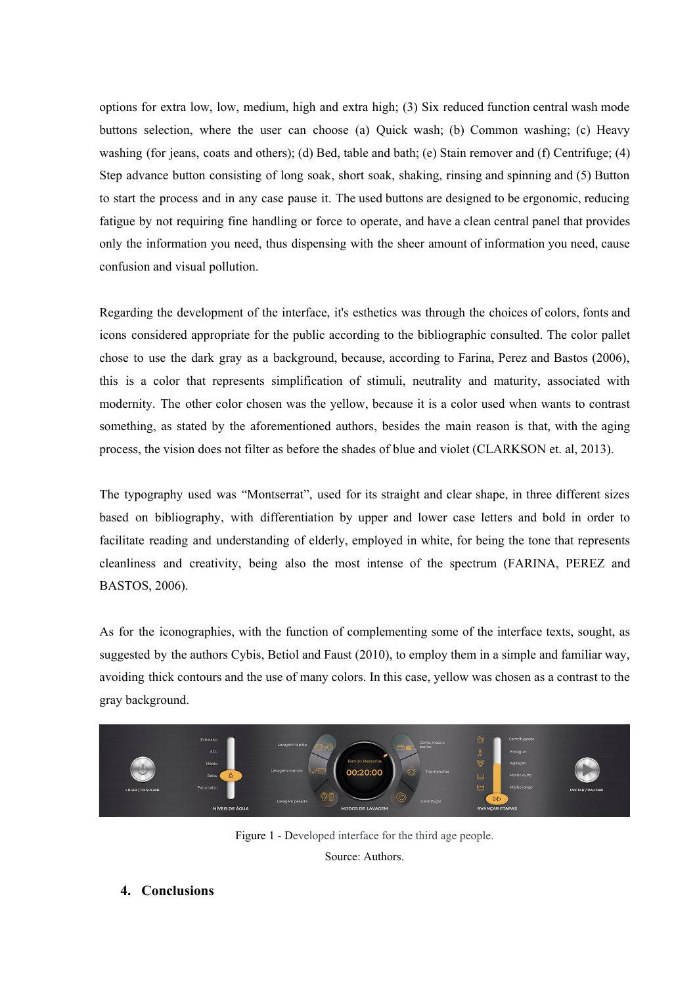options for extra low, low, medium, high and extra high; (3) Six reduced function central wash mode buttons selection, where the user can choose (a) Quick wash; (b) Common washing; (c) Heavy washing (for jeans, coats and others); (d) Bed, table and bath; (e) Stain remover and (f) Centrifuge; (4) Step advance button consisting of long soak, short soak, shaking, rinsing and spinning and (5) Button to start the process and in any case pause it. The used buttons are designed to be ergonomic, reducing fatigue by not requiring fine handling or force to operate, and have a clean central panel that provides only the information you need, thus dispensing with the sheer amount of information you need, cause confusion and visual pollution.

Regarding the development of the interface, it's esthetics was through the choices of colors, fonts and icons considered appropriate for the public according to the bibliographic consulted. The color pallet chose to use the dark gray as a background, because, according to Farina, Perez and Bastos (2006), this is a color that represents simplification of stimuli, neutrality and maturity, associated with modernity. The other color chosen was the yellow, because it is a color used when wants to contrast something, as stated by the aforementioned authors, besides the main reason is that, with the aging process, the vision does not filter as before the shades of blue and violet (CLARKSON et. al, 2013).

The typography used was "Montserrat", used for its straight and clear shape, in three different sizes based on bibliography, with differentiation by upper and lower case letters and bold in order to facilitate reading and understanding of elderly, employed in white, for being the tone that represents cleanliness and creativity, being also the most intense of the spectrum (FARINA, PEREZ and BASTOS, 2006).

As for the iconographies, with the function of complementing some of the interface texts, sought, as suggested by the authors Cybis, Betiol and Faust (2010), to employ them in a simple and familiar way, avoiding thick contours and the use of many colors. In this case, yellow was chosen as a contrast to the gray background.



Figure 1 - Developed interface for the third age people.

Source: Authors.

# **4. Conclusions**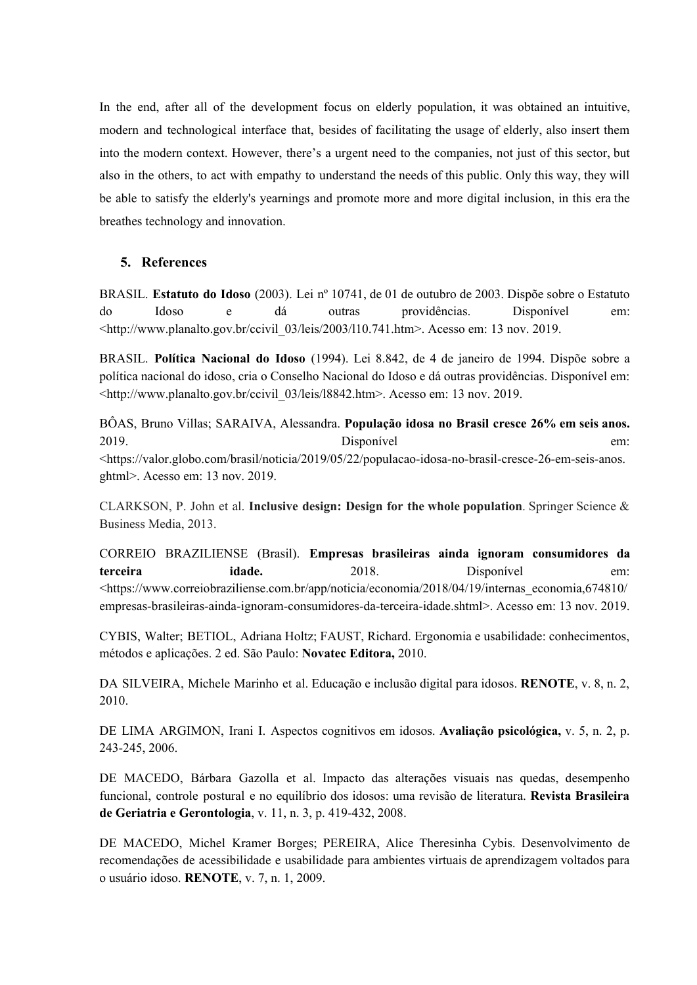In the end, after all of the development focus on elderly population, it was obtained an intuitive, modern and technological interface that, besides of facilitating the usage of elderly, also insert them into the modern context. However, there's a urgent need to the companies, not just of this sector, but also in the others, to act with empathy to understand the needs of this public. Only this way, they will be able to satisfy the elderly's yearnings and promote more and more digital inclusion, in this era the breathes technology and innovation.

## **5. References**

BRASIL. **Estatuto do Idoso** (2003). Lei nº 10741, de 01 de outubro de 2003. Dispõe sobre o Estatuto do Idoso e dá outras providências. Disponível em: <http://www.planalto.gov.br/ccivil\_03/leis/2003/l10.741.htm>. Acesso em: 13 nov. 2019.

BRASIL. **Política Nacional do Idoso** (1994). Lei 8.842, de 4 de janeiro de 1994. Dispõe sobre a política nacional do idoso, cria o Conselho Nacional do Idoso e dá outras providências. Disponível em: <http://www.planalto.gov.br/ccivil\_03/leis/l8842.htm>. Acesso em: 13 nov. 2019.

BÔAS, Bruno Villas; SARAIVA, Alessandra. **População idosa no Brasil cresce 26% em seis anos.** 2019. Disponível em: <https://valor.globo.com/brasil/noticia/2019/05/22/populacao-idosa-no-brasil-cresce-26-em-seis-anos. ghtml>. Acesso em: 13 nov. 2019.

CLARKSON, P. John et al. **Inclusive design: Design for the whole population**. Springer Science & Business Media, 2013.

CORREIO BRAZILIENSE (Brasil). **Empresas brasileiras ainda ignoram consumidores da terceira idade.** 2018. Disponível em: <https://www.correiobraziliense.com.br/app/noticia/economia/2018/04/19/internas\_economia,674810/ empresas-brasileiras-ainda-ignoram-consumidores-da-terceira-idade.shtml>. Acesso em: 13 nov. 2019.

CYBIS, Walter; BETIOL, Adriana Holtz; FAUST, Richard. Ergonomia e usabilidade: conhecimentos, métodos e aplicações. 2 ed. São Paulo: **Novatec Editora,** 2010.

DA SILVEIRA, Michele Marinho et al. Educação e inclusão digital para idosos. **RENOTE**, v. 8, n. 2, 2010.

DE LIMA ARGIMON, Irani I. Aspectos cognitivos em idosos. **Avaliação psicológica,** v. 5, n. 2, p. 243-245, 2006.

DE MACEDO, Bárbara Gazolla et al. Impacto das alterações visuais nas quedas, desempenho funcional, controle postural e no equilíbrio dos idosos: uma revisão de literatura. **Revista Brasileira de Geriatria e Gerontologia**, v. 11, n. 3, p. 419-432, 2008.

DE MACEDO, Michel Kramer Borges; PEREIRA, Alice Theresinha Cybis. Desenvolvimento de recomendações de acessibilidade e usabilidade para ambientes virtuais de aprendizagem voltados para o usuário idoso. **RENOTE**, v. 7, n. 1, 2009.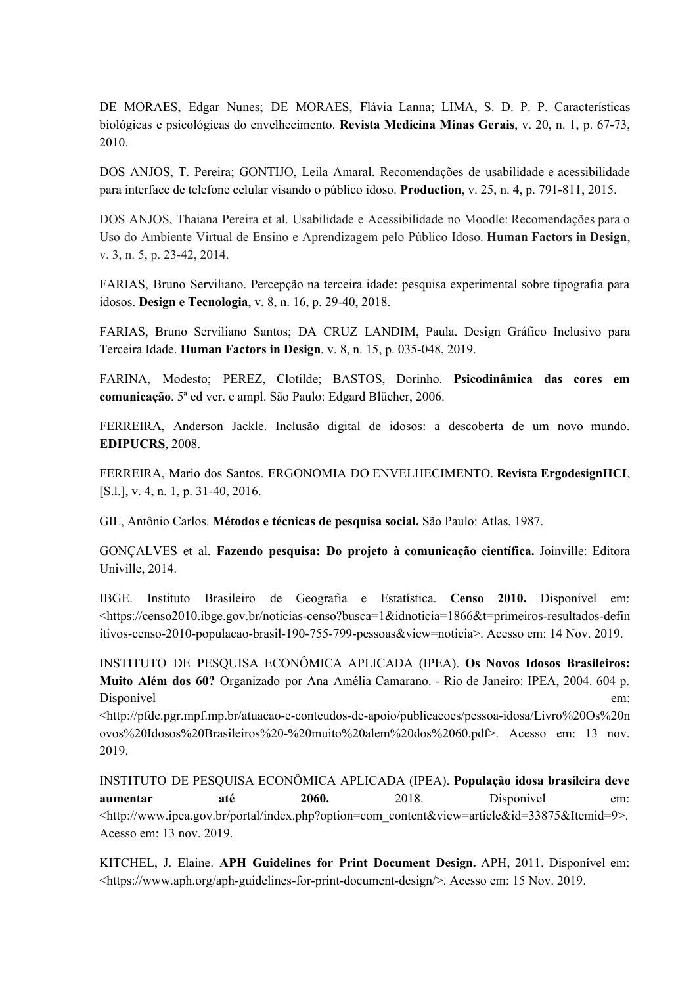DE MORAES, Edgar Nunes; DE MORAES, Flávia Lanna; LIMA, S. D. P. P. Características biológicas e psicológicas do envelhecimento. **Revista Medicina Minas Gerais**, v. 20, n. 1, p. 67-73, 2010.

DOS ANJOS, T. Pereira; GONTIJO, Leila Amaral. Recomendações de usabilidade e acessibilidade para interface de telefone celular visando o público idoso. **Production**, v. 25, n. 4, p. 791-811, 2015.

DOS ANJOS, Thaiana Pereira et al. Usabilidade e Acessibilidade no Moodle: Recomendações para o Uso do Ambiente Virtual de Ensino e Aprendizagem pelo Público Idoso. **Human Factors in Design**, v. 3, n. 5, p. 23-42, 2014.

FARIAS, Bruno Serviliano. Percepção na terceira idade: pesquisa experimental sobre tipografia para idosos. **Design e Tecnologia**, v. 8, n. 16, p. 29-40, 2018.

FARIAS, Bruno Serviliano Santos; DA CRUZ LANDIM, Paula. Design Gráfico Inclusivo para Terceira Idade. **Human Factors in Design**, v. 8, n. 15, p. 035-048, 2019.

FARINA, Modesto; PEREZ, Clotilde; BASTOS, Dorinho. **Psicodinâmica das cores em comunicação**. 5ª ed ver. e ampl. São Paulo: Edgard Blücher, 2006.

FERREIRA, Anderson Jackle. Inclusão digital de idosos: a descoberta de um novo mundo. **EDIPUCRS**, 2008.

FERREIRA, Mario dos Santos. ERGONOMIA DO ENVELHECIMENTO. **Revista ErgodesignHCI**, [S.l.], v. 4, n. 1, p. 31-40, 2016.

GIL, Antônio Carlos. **Métodos e técnicas de pesquisa social.** São Paulo: Atlas, 1987.

GONÇALVES et al. **Fazendo pesquisa: Do projeto à comunicação científica.** Joinville: Editora Univille, 2014.

IBGE. Instituto Brasileiro de Geografia e Estatística. **Censo 2010.** Disponível em: <https://censo2010.ibge.gov.br/noticias-censo?busca=1&idnoticia=1866&t=primeiros-resultados-defin itivos-censo-2010-populacao-brasil-190-755-799-pessoas&view=noticia>. Acesso em: 14 Nov. 2019.

INSTITUTO DE PESQUISA ECONÔMICA APLICADA (IPEA). **Os Novos Idosos Brasileiros: Muito Além dos 60?** Organizado por Ana Amélia Camarano. - Rio de Janeiro: IPEA, 2004. 604 p. Disponível em:

<http://pfdc.pgr.mpf.mp.br/atuacao-e-conteudos-de-apoio/publicacoes/pessoa-idosa/Livro%20Os%20n ovos%20Idosos%20Brasileiros%20-%20muito%20alem%20dos%2060.pdf>. Acesso em: 13 nov. 2019.

INSTITUTO DE PESQUISA ECONÔMICA APLICADA (IPEA). **População idosa brasileira deve aumentar até 2060.** 2018. Disponível em: <http://www.ipea.gov.br/portal/index.php?option=com\_content&view=article&id=33875&Itemid=9>. Acesso em: 13 nov. 2019.

KITCHEL, J. Elaine. **APH Guidelines for Print Document Design.** APH, 2011. Disponível em: <https://www.aph.org/aph-guidelines-for-print-document-design/>. Acesso em: 15 Nov. 2019.